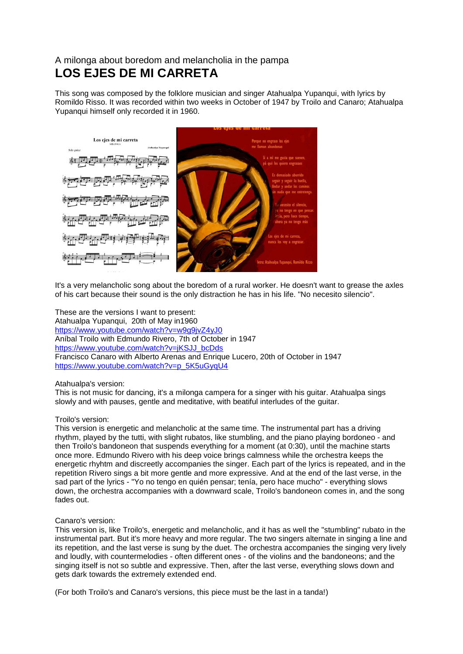## A milonga about boredom and melancholia in the pampa **LOS EJES DE MI CARRETA**

This song was composed by the folklore musician and singer Atahualpa Yupanqui, with lyrics by Romildo Risso. It was recorded within two weeks in October of 1947 by Troilo and Canaro; Atahualpa Yupanqui himself only recorded it in 1960.



It's a very melancholic song about the boredom of a rural worker. He doesn't want to grease the axles of his cart because their sound is the only distraction he has in his life. "No necesito silencio".

These are the versions I want to present: Atahualpa Yupanqui, 20th of May in1960 <https://www.youtube.com/watch?v=w9g9jvZ4yJ0> Aníbal Troilo with Edmundo Rivero, 7th of October in 1947 [https://www.youtube.com/watch?v=jKSJJ\\_bcDds](https://www.youtube.com/watch?v=jKSJJ_bcDds) Francisco Canaro with Alberto Arenas and Enrique Lucero, 20th of October in 1947 [https://www.youtube.com/watch?v=p\\_5K5uGyqU4](https://www.youtube.com/watch?v=p_5K5uGyqU4)

Atahualpa's version:

This is not music for dancing, it's a milonga campera for a singer with his guitar. Atahualpa sings slowly and with pauses, gentle and meditative, with beatiful interludes of the guitar.

## Troilo's version:

This version is energetic and melancholic at the same time. The instrumental part has a driving rhythm, played by the tutti, with slight rubatos, like stumbling, and the piano playing bordoneo - and then Troilo's bandoneon that suspends everything for a moment (at 0:30), until the machine starts once more. Edmundo Rivero with his deep voice brings calmness while the orchestra keeps the energetic rhyhtm and discreetly accompanies the singer. Each part of the lyrics is repeated, and in the repetition Rivero sings a bit more gentle and more expressive. And at the end of the last verse, in the sad part of the lyrics - "Yo no tengo en quién pensar; tenía, pero hace mucho" - everything slows down, the orchestra accompanies with a downward scale, Troilo's bandoneon comes in, and the song fades out.

## Canaro's version:

This version is, like Troilo's, energetic and melancholic, and it has as well the "stumbling" rubato in the instrumental part. But it's more heavy and more regular. The two singers alternate in singing a line and its repetition, and the last verse is sung by the duet. The orchestra accompanies the singing very lively and loudly, with countermelodies - often different ones - of the violins and the bandoneons; and the singing itself is not so subtle and expressive. Then, after the last verse, everything slows down and gets dark towards the extremely extended end.

(For both Troilo's and Canaro's versions, this piece must be the last in a tanda!)